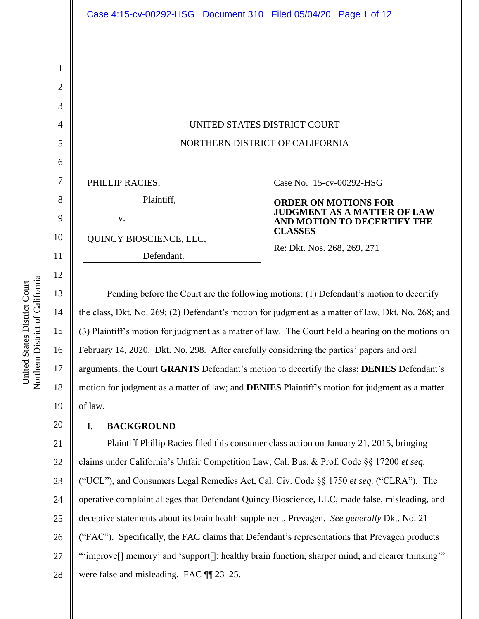| UNITED STATES DISTRICT COURT    |
|---------------------------------|
| NORTHERN DISTRICT OF CALIFORNIA |
|                                 |

Case No. 15-cv-00292-HSG

**ORDER ON MOTIONS FOR JUDGMENT AS A MATTER OF LAW AND MOTION TO DECERTIFY THE CLASSES**

Re: Dkt. Nos. 268, 269, 271

Pending before the Court are the following motions: (1) Defendant's motion to decertify the class, Dkt. No. 269; (2) Defendant's motion for judgment as a matter of law, Dkt. No. 268; and (3) Plaintiff's motion for judgment as a matter of law. The Court held a hearing on the motions on February 14, 2020. Dkt. No. 298. After carefully considering the parties' papers and oral arguments, the Court **GRANTS** Defendant's motion to decertify the class; **DENIES** Defendant's motion for judgment as a matter of law; and **DENIES** Plaintiff's motion for judgment as a matter of law.

### **I. BACKGROUND**

PHILLIP RACIES,

v.

Plaintiff,

Defendant.

QUINCY BIOSCIENCE, LLC,

21 22 23 24 25 26 27 28 Plaintiff Phillip Racies filed this consumer class action on January 21, 2015, bringing claims under California's Unfair Competition Law, Cal. Bus. & Prof. Code §§ 17200 *et seq.* ("UCL"), and Consumers Legal Remedies Act, Cal. Civ. Code §§ 1750 *et seq.* ("CLRA"). The operative complaint alleges that Defendant Quincy Bioscience, LLC, made false, misleading, and deceptive statements about its brain health supplement, Prevagen. *See generally* Dkt. No. 21 ("FAC"). Specifically, the FAC claims that Defendant's representations that Prevagen products "'improve[] memory' and 'support[]: healthy brain function, sharper mind, and clearer thinking'" were false and misleading. FAC ¶¶ 23–25.

Northern District of California Northern District of California United States District Court United States District Court

16

17

18

19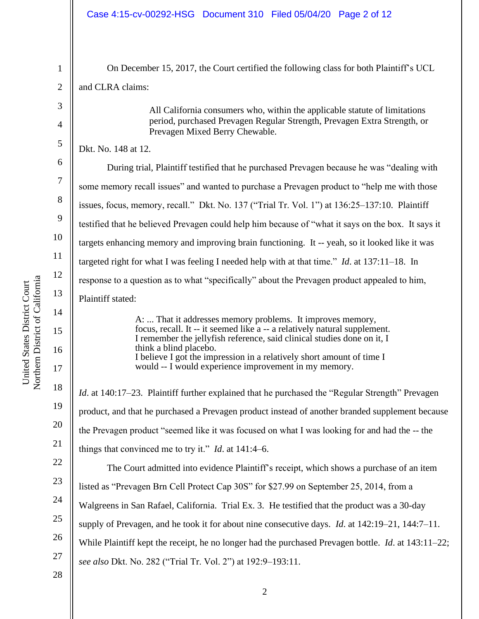| 1              | On December 15, 2017, the Court certified the following class for both Plaintiff's UCL                                                  |
|----------------|-----------------------------------------------------------------------------------------------------------------------------------------|
| $\overline{2}$ | and CLRA claims:                                                                                                                        |
| 3              | All California consumers who, within the applicable statute of limitations                                                              |
| 4              | period, purchased Prevagen Regular Strength, Prevagen Extra Strength, or<br>Prevagen Mixed Berry Chewable.                              |
| 5              | Dkt. No. 148 at 12.                                                                                                                     |
| 6              | During trial, Plaintiff testified that he purchased Prevagen because he was "dealing with                                               |
| 7              | some memory recall issues" and wanted to purchase a Prevagen product to "help me with those                                             |
| 8              | issues, focus, memory, recall." Dkt. No. 137 ("Trial Tr. Vol. 1") at 136:25–137:10. Plaintiff                                           |
| 9              | testified that he believed Prevagen could help him because of "what it says on the box. It says it                                      |
| 10             | targets enhancing memory and improving brain functioning. It -- yeah, so it looked like it was                                          |
| 11             | targeted right for what I was feeling I needed help with at that time." <i>Id.</i> at $137:11-18$ . In                                  |
| 12             | response to a question as to what "specifically" about the Prevagen product appealed to him,                                            |
| 13             | Plaintiff stated:                                                                                                                       |
| 14<br>15       | A:  That it addresses memory problems. It improves memory,<br>focus, recall. It -- it seemed like a -- a relatively natural supplement. |
| 16             | I remember the jellyfish reference, said clinical studies done on it, I<br>think a blind placebo.                                       |
| 17             | I believe I got the impression in a relatively short amount of time I<br>would -- I would experience improvement in my memory.          |
| 18             | <i>Id.</i> at 140:17–23. Plaintiff further explained that he purchased the "Regular Strength" Prevagen                                  |
| 19             | product, and that he purchased a Prevagen product instead of another branded supplement because                                         |
| 20             | the Prevagen product "seemed like it was focused on what I was looking for and had the -- the                                           |
| 21             | things that convinced me to try it." <i>Id.</i> at $141:4-6$ .                                                                          |
| 22             | The Court admitted into evidence Plaintiff's receipt, which shows a purchase of an item                                                 |
| 23             | listed as "Prevagen Brn Cell Protect Cap 30S" for \$27.99 on September 25, 2014, from a                                                 |
| 24             | Walgreens in San Rafael, California. Trial Ex. 3. He testified that the product was a 30-day                                            |
| 25             | supply of Prevagen, and he took it for about nine consecutive days. <i>Id.</i> at 142:19–21, 144:7–11.                                  |
| 26             | While Plaintiff kept the receipt, he no longer had the purchased Prevagen bottle. <i>Id.</i> at 143:11–22;                              |
| 27             | see also Dkt. No. 282 ("Trial Tr. Vol. 2") at 192:9-193:11.                                                                             |
| 28             |                                                                                                                                         |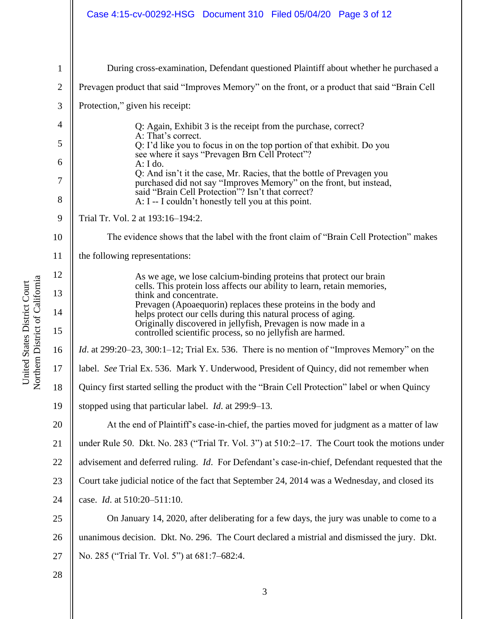## Case 4:15-cv-00292-HSG Document 310 Filed 05/04/20 Page 3 of 12

| $\mathbf{1}$   | During cross-examination, Defendant questioned Plaintiff about whether he purchased a                                                       |
|----------------|---------------------------------------------------------------------------------------------------------------------------------------------|
| $\mathbf{2}$   | Prevagen product that said "Improves Memory" on the front, or a product that said "Brain Cell"                                              |
| 3              | Protection," given his receipt:                                                                                                             |
| $\overline{4}$ | Q: Again, Exhibit 3 is the receipt from the purchase, correct?                                                                              |
| 5              | A: That's correct.<br>Q: I'd like you to focus in on the top portion of that exhibit. Do you                                                |
| 6              | see where it says "Prevagen Brn Cell Protect"?<br>A: I do.                                                                                  |
| $\tau$         | Q: And isn't it the case, Mr. Racies, that the bottle of Prevagen you<br>purchased did not say "Improves Memory" on the front, but instead, |
| 8              | said "Brain Cell Protection"? Isn't that correct?<br>A: I -- I couldn't honestly tell you at this point.                                    |
| 9              | Trial Tr. Vol. 2 at 193:16-194:2.                                                                                                           |
| 10             | The evidence shows that the label with the front claim of "Brain Cell Protection" makes                                                     |
| 11             | the following representations:                                                                                                              |
| 12             | As we age, we lose calcium-binding proteins that protect our brain                                                                          |
| 13             | cells. This protein loss affects our ability to learn, retain memories,<br>think and concentrate.                                           |
| 14             | Prevagen (Apoaequorin) replaces these proteins in the body and<br>helps protect our cells during this natural process of aging.             |
| 15             | Originally discovered in jellyfish, Prevagen is now made in a<br>controlled scientific process, so no jellyfish are harmed.                 |
| 16             | <i>Id.</i> at 299:20–23, 300:1–12; Trial Ex. 536. There is no mention of "Improves Memory" on the                                           |
| 17             | label. See Trial Ex. 536. Mark Y. Underwood, President of Quincy, did not remember when                                                     |
| 18             | Quincy first started selling the product with the "Brain Cell Protection" label or when Quincy                                              |
| 19             | stopped using that particular label. <i>Id.</i> at 299:9-13.                                                                                |
| 20             | At the end of Plaintiff's case-in-chief, the parties moved for judgment as a matter of law                                                  |
| 21             | under Rule 50. Dkt. No. 283 ("Trial Tr. Vol. 3") at 510:2-17. The Court took the motions under                                              |
| 22             | advisement and deferred ruling. <i>Id.</i> For Defendant's case-in-chief, Defendant requested that the                                      |
| 23             | Court take judicial notice of the fact that September 24, 2014 was a Wednesday, and closed its                                              |
| 24             | case. <i>Id.</i> at 510:20-511:10.                                                                                                          |
| 25             | On January 14, 2020, after deliberating for a few days, the jury was unable to come to a                                                    |
| 26             | unanimous decision. Dkt. No. 296. The Court declared a mistrial and dismissed the jury. Dkt.                                                |
| 27             | No. 285 ("Trial Tr. Vol. 5") at 681:7-682:4.                                                                                                |
| 28             |                                                                                                                                             |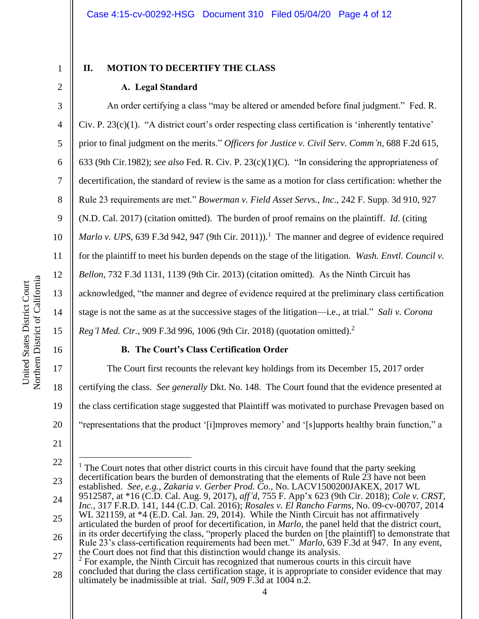4

5

6

7

8

9

10

11

12

13

14

15

17

18

19

20

21

1

### **II. MOTION TO DECERTIFY THE CLASS**

# **A. Legal Standard**

An order certifying a class "may be altered or amended before final judgment." Fed. R. Civ. P. 23(c)(1). "A district court's order respecting class certification is 'inherently tentative' prior to final judgment on the merits." *Officers for Justice v. Civil Serv. Comm'n,* 688 F.2d 615, 633 (9th Cir.1982); *see also* Fed. R. Civ. P. 23(c)(1)(C). "In considering the appropriateness of decertification, the standard of review is the same as a motion for class certification: whether the Rule 23 requirements are met." *Bowerman v. Field Asset Servs., Inc*., 242 F. Supp. 3d 910, 927 (N.D. Cal. 2017) (citation omitted). The burden of proof remains on the plaintiff. *Id*. (citing *Marlo v. UPS*, 639 F.3d 942, 947 (9th Cir. 2011)).<sup>1</sup> The manner and degree of evidence required for the plaintiff to meet his burden depends on the stage of the litigation. *Wash. Envtl. Council v. Bellon*, 732 F.3d 1131, 1139 (9th Cir. 2013) (citation omitted). As the Ninth Circuit has acknowledged, "the manner and degree of evidence required at the preliminary class certification stage is not the same as at the successive stages of the litigation—i.e., at trial." *Sali v. Corona Reg'l Med. Ctr.*, 909 F.3d 996, 1006 (9th Cir. 2018) (quotation omitted).<sup>2</sup>

### 16

### **B. The Court's Class Certification Order**

The Court first recounts the relevant key holdings from its December 15, 2017 order certifying the class. *See generally* Dkt. No. 148. The Court found that the evidence presented at the class certification stage suggested that Plaintiff was motivated to purchase Prevagen based on "representations that the product '[i]mproves memory' and '[s]upports healthy brain function," a

28 ultimately be inadmissible at trial. *Sail*, 909 F.3d at 1004 n.2.

<sup>22</sup> 23 24 25 26 27  $<sup>1</sup>$  The Court notes that other district courts in this circuit have found that the party seeking</sup> decertification bears the burden of demonstrating that the elements of Rule 23 have not been established. *See, e.g.*, *Zakaria v. Gerber Prod. Co.*, No. LACV1500200JAKEX, 2017 WL 9512587, at \*16 (C.D. Cal. Aug. 9, 2017), *aff'd*, 755 F. App'x 623 (9th Cir. 2018); *Cole v. CRST, Inc.*, 317 F.R.D. 141, 144 (C.D. Cal. 2016); *Rosales v. El Rancho Farms*, No. 09-cv-00707, 2014 WL 321159, at  $*4$  (E.D. Cal. Jan. 29, 2014). While the Ninth Circuit has not affirmatively articulated the burden of proof for decertification, in *Marlo*, the panel held that the district court, in its order decertifying the class, "properly placed the burden on [the plaintiff] to demonstrate that Rule 23's class-certification requirements had been met." *Marlo*, 639 F.3d at 947. In any event, the Court does not find that this distinction would change its analysis. <sup>2</sup> For example, the Ninth Circuit has recognized that numerous courts in this circuit have concluded that during the class certification stage, it is appropriate to consider evidence that may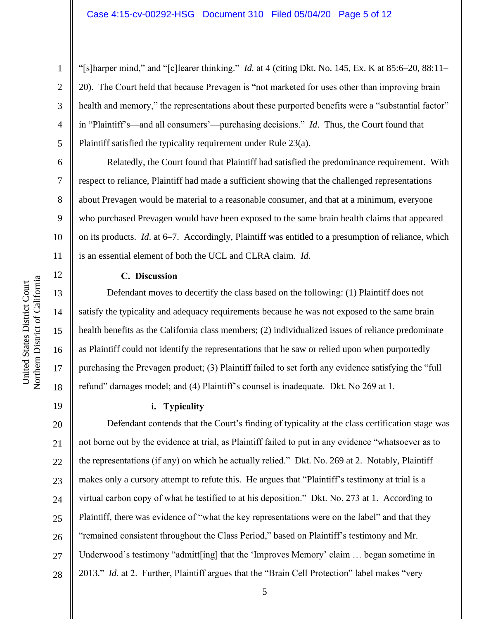"[s]harper mind," and "[c]learer thinking." *Id.* at 4 (citing Dkt. No. 145, Ex. K at 85:6–20, 88:11– 20). The Court held that because Prevagen is "not marketed for uses other than improving brain health and memory," the representations about these purported benefits were a "substantial factor" in "Plaintiff's—and all consumers'—purchasing decisions." *Id*. Thus, the Court found that Plaintiff satisfied the typicality requirement under Rule 23(a).

Relatedly, the Court found that Plaintiff had satisfied the predominance requirement. With respect to reliance, Plaintiff had made a sufficient showing that the challenged representations about Prevagen would be material to a reasonable consumer, and that at a minimum, everyone who purchased Prevagen would have been exposed to the same brain health claims that appeared on its products. *Id*. at 6–7. Accordingly, Plaintiff was entitled to a presumption of reliance, which is an essential element of both the UCL and CLRA claim. *Id*.

Northern District of California Northern District of California United States District Court United States District Court

1

2

3

4

5

6

7

8

9

10

11

12

13

14

15

16

17

18

19

### **C. Discussion**

Defendant moves to decertify the class based on the following: (1) Plaintiff does not satisfy the typicality and adequacy requirements because he was not exposed to the same brain health benefits as the California class members; (2) individualized issues of reliance predominate as Plaintiff could not identify the representations that he saw or relied upon when purportedly purchasing the Prevagen product; (3) Plaintiff failed to set forth any evidence satisfying the "full refund" damages model; and (4) Plaintiff's counsel is inadequate. Dkt. No 269 at 1.

**i. Typicality**

20 21 22 23 24 25 26 27 28 Defendant contends that the Court's finding of typicality at the class certification stage was not borne out by the evidence at trial, as Plaintiff failed to put in any evidence "whatsoever as to the representations (if any) on which he actually relied." Dkt. No. 269 at 2. Notably, Plaintiff makes only a cursory attempt to refute this. He argues that "Plaintiff's testimony at trial is a virtual carbon copy of what he testified to at his deposition." Dkt. No. 273 at 1. According to Plaintiff, there was evidence of "what the key representations were on the label" and that they "remained consistent throughout the Class Period," based on Plaintiff's testimony and Mr. Underwood's testimony "admitt[ing] that the 'Improves Memory' claim … began sometime in 2013." *Id.* at 2. Further, Plaintiff argues that the "Brain Cell Protection" label makes "very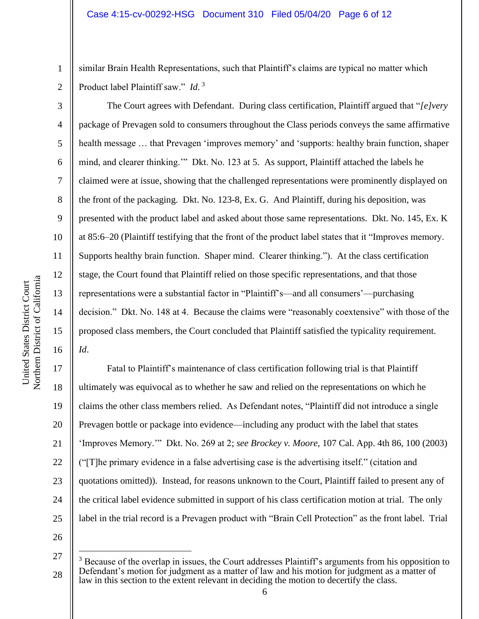similar Brain Health Representations, such that Plaintiff's claims are typical no matter which Product label Plaintiff saw." *Id*. 3

The Court agrees with Defendant. During class certification, Plaintiff argued that "*[e]very*  package of Prevagen sold to consumers throughout the Class periods conveys the same affirmative health message ... that Prevagen 'improves memory' and 'supports: healthy brain function, shaper mind, and clearer thinking.'" Dkt. No. 123 at 5. As support, Plaintiff attached the labels he claimed were at issue, showing that the challenged representations were prominently displayed on the front of the packaging. Dkt. No. 123-8, Ex. G. And Plaintiff, during his deposition, was presented with the product label and asked about those same representations. Dkt. No. 145, Ex. K at 85:6–20 (Plaintiff testifying that the front of the product label states that it "Improves memory. Supports healthy brain function. Shaper mind. Clearer thinking."). At the class certification stage, the Court found that Plaintiff relied on those specific representations, and that those representations were a substantial factor in "Plaintiff's—and all consumers'—purchasing decision." Dkt. No. 148 at 4. Because the claims were "reasonably coextensive" with those of the proposed class members, the Court concluded that Plaintiff satisfied the typicality requirement. *Id*.

17 18 19 25 Fatal to Plaintiff's maintenance of class certification following trial is that Plaintiff ultimately was equivocal as to whether he saw and relied on the representations on which he claims the other class members relied. As Defendant notes, "Plaintiff did not introduce a single Prevagen bottle or package into evidence—including any product with the label that states 'Improves Memory.'" Dkt. No. 269 at 2; *see Brockey v. Moore*, 107 Cal. App. 4th 86, 100 (2003) ("[T]he primary evidence in a false advertising case is the advertising itself." (citation and quotations omitted)). Instead, for reasons unknown to the Court, Plaintiff failed to present any of the critical label evidence submitted in support of his class certification motion at trial. The only label in the trial record is a Prevagen product with "Brain Cell Protection" as the front label. Trial

26

1

2

3

4

5

6

7

8

9

10

11

12

13

14

15

16

<sup>27</sup>  $3$  Because of the overlap in issues, the Court addresses Plaintiff's arguments from his opposition to Defendant's motion for judgment as a matter of law and his motion for judgment as a matter of law in this section to the extent relevant in deciding the motion to decertify the class.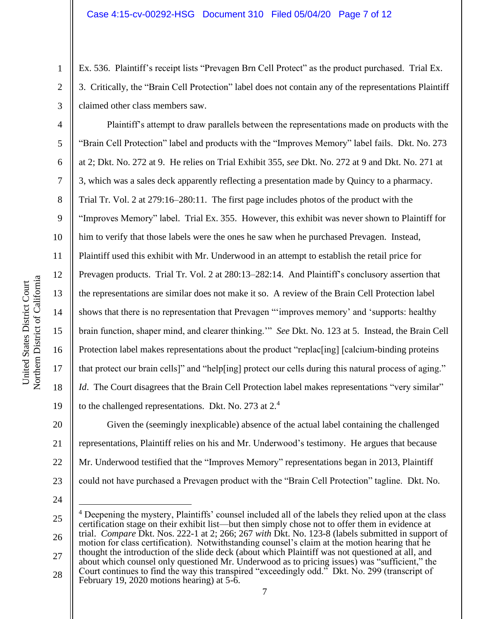Ex. 536. Plaintiff's receipt lists "Prevagen Brn Cell Protect" as the product purchased. Trial Ex. 3. Critically, the "Brain Cell Protection" label does not contain any of the representations Plaintiff claimed other class members saw.

Plaintiff's attempt to draw parallels between the representations made on products with the "Brain Cell Protection" label and products with the "Improves Memory" label fails. Dkt. No. 273 at 2; Dkt. No. 272 at 9. He relies on Trial Exhibit 355, *see* Dkt. No. 272 at 9 and Dkt. No. 271 at 3, which was a sales deck apparently reflecting a presentation made by Quincy to a pharmacy. Trial Tr. Vol. 2 at 279:16–280:11. The first page includes photos of the product with the "Improves Memory" label. Trial Ex. 355. However, this exhibit was never shown to Plaintiff for him to verify that those labels were the ones he saw when he purchased Prevagen. Instead, Plaintiff used this exhibit with Mr. Underwood in an attempt to establish the retail price for Prevagen products. Trial Tr. Vol. 2 at 280:13–282:14. And Plaintiff's conclusory assertion that the representations are similar does not make it so. A review of the Brain Cell Protection label shows that there is no representation that Prevagen "'improves memory' and 'supports: healthy brain function, shaper mind, and clearer thinking.'" *See* Dkt. No. 123 at 5. Instead, the Brain Cell Protection label makes representations about the product "replacentlest" [calcium-binding proteins that protect our brain cells]" and "help[ing] protect our cells during this natural process of aging." *Id*. The Court disagrees that the Brain Cell Protection label makes representations "very similar" to the challenged representations. Dkt. No. 273 at  $2<sup>4</sup>$ 

20 21 22 23 Given the (seemingly inexplicable) absence of the actual label containing the challenged representations, Plaintiff relies on his and Mr. Underwood's testimony. He argues that because Mr. Underwood testified that the "Improves Memory" representations began in 2013, Plaintiff could not have purchased a Prevagen product with the "Brain Cell Protection" tagline. Dkt. No.

24

1

2

3

4

5

6

7

8

9

10

11

12

13

14

15

16

17

18

<sup>25</sup> 26 27 28 <sup>4</sup> Deepening the mystery, Plaintiffs' counsel included all of the labels they relied upon at the class certification stage on their exhibit list—but then simply chose not to offer them in evidence at trial. *Compare* Dkt. Nos. 222-1 at 2; 266; 267 *with* Dkt. No. 123-8 (labels submitted in support of motion for class certification). Notwithstanding counsel's claim at the motion hearing that he thought the introduction of the slide deck (about which Plaintiff was not questioned at all, and about which counsel only questioned Mr. Underwood as to pricing issues) was "sufficient," the Court continues to find the way this transpired "exceedingly odd." Dkt. No. 299 (transcript of February 19, 2020 motions hearing) at 5-6.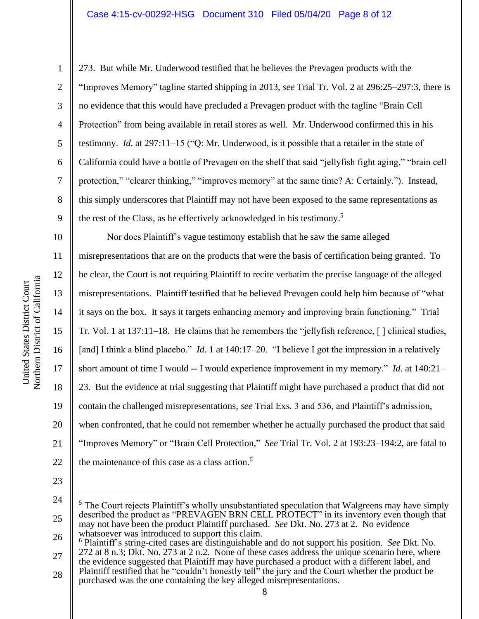273. But while Mr. Underwood testified that he believes the Prevagen products with the "Improves Memory" tagline started shipping in 2013, *see* Trial Tr. Vol. 2 at 296:25–297:3, there is no evidence that this would have precluded a Prevagen product with the tagline "Brain Cell Protection" from being available in retail stores as well. Mr. Underwood confirmed this in his testimony. *Id*. at 297:11–15 ("Q: Mr. Underwood, is it possible that a retailer in the state of California could have a bottle of Prevagen on the shelf that said "jellyfish fight aging," "brain cell protection," "clearer thinking," "improves memory" at the same time? A: Certainly."). Instead, this simply underscores that Plaintiff may not have been exposed to the same representations as the rest of the Class, as he effectively acknowledged in his testimony. 5

10 11 12 13 14 15 16 17 18 19 20 21 22 Nor does Plaintiff's vague testimony establish that he saw the same alleged misrepresentations that are on the products that were the basis of certification being granted. To be clear, the Court is not requiring Plaintiff to recite verbatim the precise language of the alleged misrepresentations. Plaintiff testified that he believed Prevagen could help him because of "what it says on the box. It says it targets enhancing memory and improving brain functioning." Trial Tr. Vol. 1 at 137:11–18. He claims that he remembers the "jellyfish reference, [ ] clinical studies, [and] I think a blind placebo." *Id*. 1 at 140:17–20. "I believe I got the impression in a relatively short amount of time I would -- I would experience improvement in my memory." *Id*. at 140:21– 23. But the evidence at trial suggesting that Plaintiff might have purchased a product that did not contain the challenged misrepresentations, *see* Trial Exs. 3 and 536, and Plaintiff's admission, when confronted, that he could not remember whether he actually purchased the product that said "Improves Memory" or "Brain Cell Protection," *See* Trial Tr. Vol. 2 at 193:23–194:2, are fatal to the maintenance of this case as a class action. 6

23

1

2

3

4

5

6

7

8

<sup>24</sup> 25 26 <sup>5</sup> The Court rejects Plaintiff's wholly unsubstantiated speculation that Walgreens may have simply described the product as "PREVAGEN BRN CELL PROTECT" in its inventory even though that may not have been the product Plaintiff purchased. *See* Dkt. No. 273 at 2. No evidence whatsoever was introduced to support this claim.

<sup>27</sup> <sup>6</sup> Plaintiff's string-cited cases are distinguishable and do not support his position. *See* Dkt. No. 272 at 8 n.3; Dkt. No. 273 at 2 n.2. None of these cases address the unique scenario here, where

the evidence suggested that Plaintiff may have purchased a product with a different label, and Plaintiff testified that he "couldn't honestly tell" the jury and the Court whether the product he

<sup>28</sup> purchased was the one containing the key alleged misrepresentations.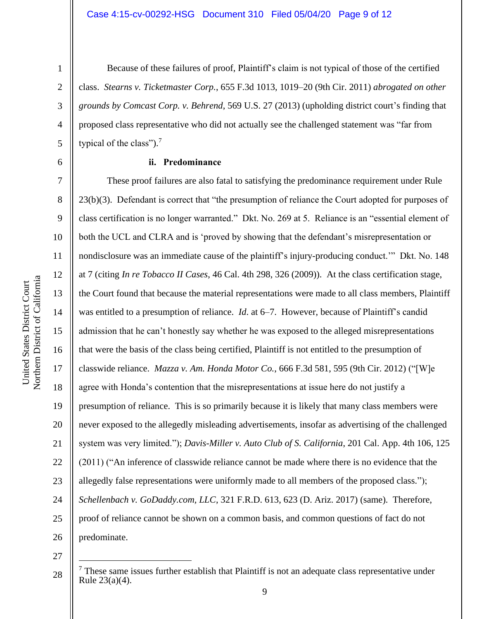2

3

4

5

6

7

8

9

10

11

12

13

14

15

16

17

18

19

20

21

22

23

24

25

26

Because of these failures of proof, Plaintiff's claim is not typical of those of the certified class. *Stearns v. Ticketmaster Corp.*, 655 F.3d 1013, 1019–20 (9th Cir. 2011) *abrogated on other grounds by Comcast Corp. v. Behrend*, 569 U.S. 27 (2013) (upholding district court's finding that proposed class representative who did not actually see the challenged statement was "far from typical of the class").<sup>7</sup>

### **ii. Predominance**

These proof failures are also fatal to satisfying the predominance requirement under Rule 23(b)(3). Defendant is correct that "the presumption of reliance the Court adopted for purposes of class certification is no longer warranted." Dkt. No. 269 at 5. Reliance is an "essential element of both the UCL and CLRA and is 'proved by showing that the defendant's misrepresentation or nondisclosure was an immediate cause of the plaintiff's injury-producing conduct.'" Dkt. No. 148 at 7 (citing *In re Tobacco II Cases*, 46 Cal. 4th 298, 326 (2009)). At the class certification stage, the Court found that because the material representations were made to all class members, Plaintiff was entitled to a presumption of reliance. *Id*. at 6–7. However, because of Plaintiff's candid admission that he can't honestly say whether he was exposed to the alleged misrepresentations that were the basis of the class being certified, Plaintiff is not entitled to the presumption of classwide reliance. *Mazza v. Am. Honda Motor Co.*, 666 F.3d 581, 595 (9th Cir. 2012) ("[W]e agree with Honda's contention that the misrepresentations at issue here do not justify a presumption of reliance. This is so primarily because it is likely that many class members were never exposed to the allegedly misleading advertisements, insofar as advertising of the challenged system was very limited."); *Davis-Miller v. Auto Club of S. California*, 201 Cal. App. 4th 106, 125 (2011) ("An inference of classwide reliance cannot be made where there is no evidence that the allegedly false representations were uniformly made to all members of the proposed class."); *Schellenbach v. GoDaddy.com, LLC*, 321 F.R.D. 613, 623 (D. Ariz. 2017) (same). Therefore, proof of reliance cannot be shown on a common basis, and common questions of fact do not predominate.

<sup>28</sup>  $<sup>7</sup>$  These same issues further establish that Plaintiff is not an adequate class representative under</sup> Rule 23(a)(4).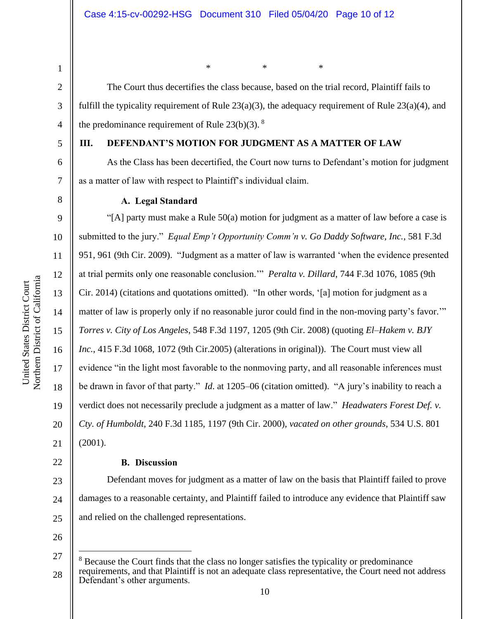5

6

7

8

9

10

11

12

13

14

15

16

17

18

19

20

21

22

### **III. DEFENDANT'S MOTION FOR JUDGMENT AS A MATTER OF LAW**

As the Class has been decertified, the Court now turns to Defendant's motion for judgment as a matter of law with respect to Plaintiff's individual claim.

\* \* \*

fulfill the typicality requirement of Rule 23(a)(3), the adequacy requirement of Rule 23(a)(4), and

The Court thus decertifies the class because, based on the trial record, Plaintiff fails to

### **A. Legal Standard**

the predominance requirement of Rule  $23(b)(3)$ . <sup>8</sup>

"[A] party must make a Rule 50(a) motion for judgment as a matter of law before a case is submitted to the jury." *Equal Emp't Opportunity Comm'n v. Go Daddy Software, Inc.*, 581 F.3d 951, 961 (9th Cir. 2009). "Judgment as a matter of law is warranted 'when the evidence presented at trial permits only one reasonable conclusion.'" *Peralta v. Dillard*, 744 F.3d 1076, 1085 (9th Cir. 2014) (citations and quotations omitted). "In other words, '[a] motion for judgment as a matter of law is properly only if no reasonable juror could find in the non-moving party's favor.'" *Torres v. City of Los Angeles*, 548 F.3d 1197, 1205 (9th Cir. 2008) (quoting *El–Hakem v. BJY Inc.*, 415 F.3d 1068, 1072 (9th Cir.2005) (alterations in original)). The Court must view all evidence "in the light most favorable to the nonmoving party, and all reasonable inferences must be drawn in favor of that party." *Id*. at 1205–06 (citation omitted). "A jury's inability to reach a verdict does not necessarily preclude a judgment as a matter of law." *Headwaters Forest Def. v. Cty. of Humboldt*, 240 F.3d 1185, 1197 (9th Cir. 2000), *vacated on other grounds*, 534 U.S. 801 (2001).

### **B. Discussion**

23 24 25 Defendant moves for judgment as a matter of law on the basis that Plaintiff failed to prove damages to a reasonable certainty, and Plaintiff failed to introduce any evidence that Plaintiff saw and relied on the challenged representations.

<sup>27</sup> 28 <sup>8</sup> Because the Court finds that the class no longer satisfies the typicality or predominance requirements, and that Plaintiff is not an adequate class representative, the Court need not address Defendant's other arguments.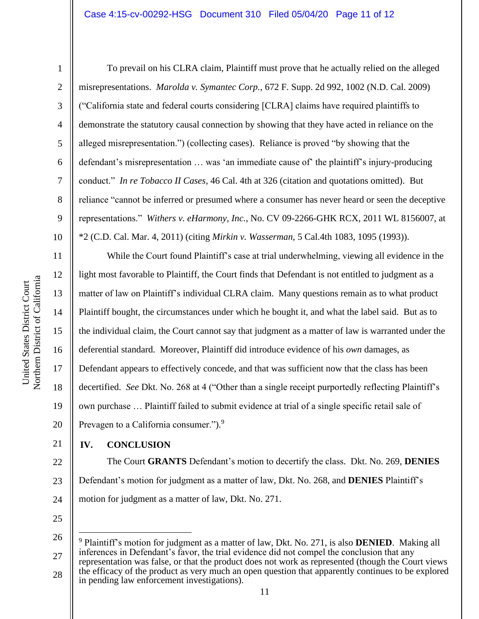2

3

4

5

6

7

8

9

10

To prevail on his CLRA claim, Plaintiff must prove that he actually relied on the alleged misrepresentations. *Marolda v. Symantec Corp.*, 672 F. Supp. 2d 992, 1002 (N.D. Cal. 2009) ("California state and federal courts considering [CLRA] claims have required plaintiffs to demonstrate the statutory causal connection by showing that they have acted in reliance on the alleged misrepresentation.") (collecting cases). Reliance is proved "by showing that the defendant's misrepresentation … was 'an immediate cause of' the plaintiff's injury-producing conduct." *In re Tobacco II Cases*, 46 Cal. 4th at 326 (citation and quotations omitted). But reliance "cannot be inferred or presumed where a consumer has never heard or seen the deceptive representations." *Withers v. eHarmony, Inc.*, No. CV 09-2266-GHK RCX, 2011 WL 8156007, at \*2 (C.D. Cal. Mar. 4, 2011) (citing *Mirkin v. Wasserman*, 5 Cal.4th 1083, 1095 (1993)).

11 12 13 14 15 16 17 18 19 20 While the Court found Plaintiff's case at trial underwhelming, viewing all evidence in the light most favorable to Plaintiff, the Court finds that Defendant is not entitled to judgment as a matter of law on Plaintiff's individual CLRA claim. Many questions remain as to what product Plaintiff bought, the circumstances under which he bought it, and what the label said. But as to the individual claim, the Court cannot say that judgment as a matter of law is warranted under the deferential standard. Moreover, Plaintiff did introduce evidence of his *own* damages, as Defendant appears to effectively concede, and that was sufficient now that the class has been decertified. *See* Dkt. No. 268 at 4 ("Other than a single receipt purportedly reflecting Plaintiff's own purchase … Plaintiff failed to submit evidence at trial of a single specific retail sale of Prevagen to a California consumer.").<sup>9</sup>

21 **IV. CONCLUSION**

22 23 24 The Court **GRANTS** Defendant's motion to decertify the class. Dkt. No. 269, **DENIES** Defendant's motion for judgment as a matter of law, Dkt. No. 268, and **DENIES** Plaintiff's motion for judgment as a matter of law, Dkt. No. 271.

<sup>26</sup> 27 28 <sup>9</sup> Plaintiff's motion for judgment as a matter of law, Dkt. No. 271, is also **DENIED**. Making all inferences in Defendant's favor, the trial evidence did not compel the conclusion that any representation was false, or that the product does not work as represented (though the Court views the efficacy of the product as very much an open question that apparently continues to be explored in pending law enforcement investigations).